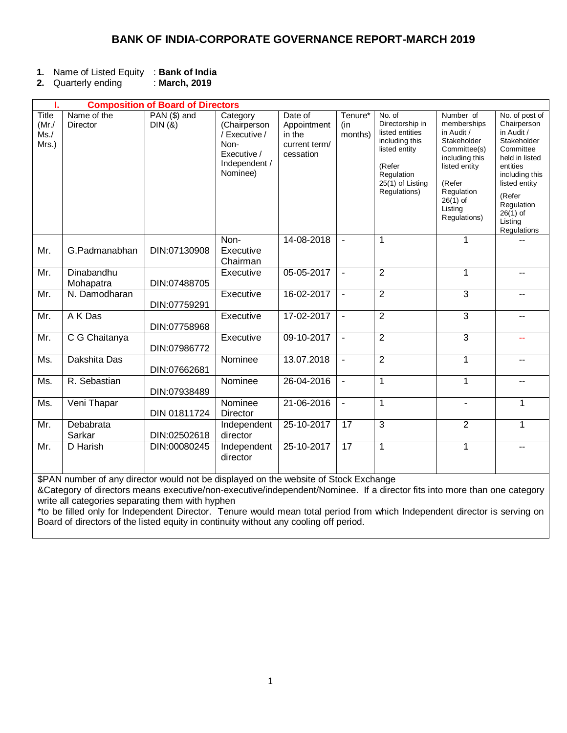### **BANK OF INDIA-CORPORATE GOVERNANCE REPORT-MARCH 2019**

- **1.** Name of Listed Equity : **Bank of India**
- **2.** Quarterly ending

| ı.                                         | <b>Composition of Board of Directors</b> |                        |                                                                                               |                                                                |                                       |                                                                                                                                             |                                                                                                                                                                           |                                                                                                                                                                                                          |
|--------------------------------------------|------------------------------------------|------------------------|-----------------------------------------------------------------------------------------------|----------------------------------------------------------------|---------------------------------------|---------------------------------------------------------------------------------------------------------------------------------------------|---------------------------------------------------------------------------------------------------------------------------------------------------------------------------|----------------------------------------------------------------------------------------------------------------------------------------------------------------------------------------------------------|
| <b>Title</b><br>$(Mr$ ./<br>Ms. /<br>Mrs.) | Name of the<br>Director                  | PAN (\$) and<br>DIN(8) | Category<br>(Chairperson<br>/ Executive /<br>Non-<br>Executive /<br>Independent /<br>Nominee) | Date of<br>Appointment<br>in the<br>current term/<br>cessation | Tenure <sup>*</sup><br>(in<br>months) | No. of<br>Directorship in<br>listed entities<br>including this<br>listed entity<br>(Refer<br>Regulation<br>25(1) of Listing<br>Regulations) | Number of<br>memberships<br>in Audit /<br>Stakeholder<br>Committee(s)<br>including this<br>listed entity<br>(Refer<br>Regulation<br>$26(1)$ of<br>Listing<br>Regulations) | No. of post of<br>Chairperson<br>in Audit /<br>Stakeholder<br>Committee<br>held in listed<br>entities<br>including this<br>listed entity<br>(Refer<br>Regulation<br>$26(1)$ of<br>Listing<br>Regulations |
| Mr.                                        | G.Padmanabhan                            | DIN:07130908           | Non-<br>Executive<br>Chairman                                                                 | 14-08-2018                                                     | $\blacksquare$                        | $\mathbf 1$                                                                                                                                 | 1                                                                                                                                                                         |                                                                                                                                                                                                          |
| Mr.                                        | Dinabandhu<br>Mohapatra                  | DIN:07488705           | Executive                                                                                     | 05-05-2017                                                     | $\blacksquare$                        | $\overline{2}$                                                                                                                              | $\mathbf{1}$                                                                                                                                                              | $\overline{\phantom{a}}$                                                                                                                                                                                 |
| Mr.                                        | N. Damodharan                            | DIN:07759291           | Executive                                                                                     | 16-02-2017                                                     | $\blacksquare$                        | $\overline{2}$                                                                                                                              | 3                                                                                                                                                                         |                                                                                                                                                                                                          |
| Mr.                                        | A K Das                                  | DIN:07758968           | Executive                                                                                     | 17-02-2017                                                     |                                       | $\overline{2}$                                                                                                                              | 3                                                                                                                                                                         |                                                                                                                                                                                                          |
| Mr.                                        | C G Chaitanya                            | DIN:07986772           | Executive                                                                                     | 09-10-2017                                                     | $\overline{\phantom{a}}$              | $\overline{2}$                                                                                                                              | 3                                                                                                                                                                         | --                                                                                                                                                                                                       |
| Ms.                                        | Dakshita Das                             | DIN:07662681           | Nominee                                                                                       | 13.07.2018                                                     | $\blacksquare$                        | $\overline{2}$                                                                                                                              | 1                                                                                                                                                                         |                                                                                                                                                                                                          |
| Ms.                                        | R. Sebastian                             | DIN:07938489           | Nominee                                                                                       | 26-04-2016                                                     |                                       | $\mathbf 1$                                                                                                                                 | 1                                                                                                                                                                         |                                                                                                                                                                                                          |
| Ms.                                        | Veni Thapar                              | DIN 01811724           | Nominee<br><b>Director</b>                                                                    | 21-06-2016                                                     | $\overline{\phantom{a}}$              | $\overline{1}$                                                                                                                              | $\blacksquare$                                                                                                                                                            | 1                                                                                                                                                                                                        |
| Mr.                                        | Debabrata<br>Sarkar                      | DIN:02502618           | Independent<br>director                                                                       | 25-10-2017                                                     | 17                                    | 3                                                                                                                                           | $\overline{2}$                                                                                                                                                            | 1                                                                                                                                                                                                        |
| Mr.                                        | D Harish                                 | DIN:00080245           | Independent<br>director                                                                       | 25-10-2017                                                     | 17                                    | $\mathbf 1$                                                                                                                                 | 1                                                                                                                                                                         |                                                                                                                                                                                                          |
|                                            |                                          |                        |                                                                                               |                                                                |                                       |                                                                                                                                             |                                                                                                                                                                           |                                                                                                                                                                                                          |

\$PAN number of any director would not be displayed on the website of Stock Exchange

&Category of directors means executive/non-executive/independent/Nominee. If a director fits into more than one category write all categories separating them with hyphen

\*to be filled only for Independent Director. Tenure would mean total period from which Independent director is serving on Board of directors of the listed equity in continuity without any cooling off period.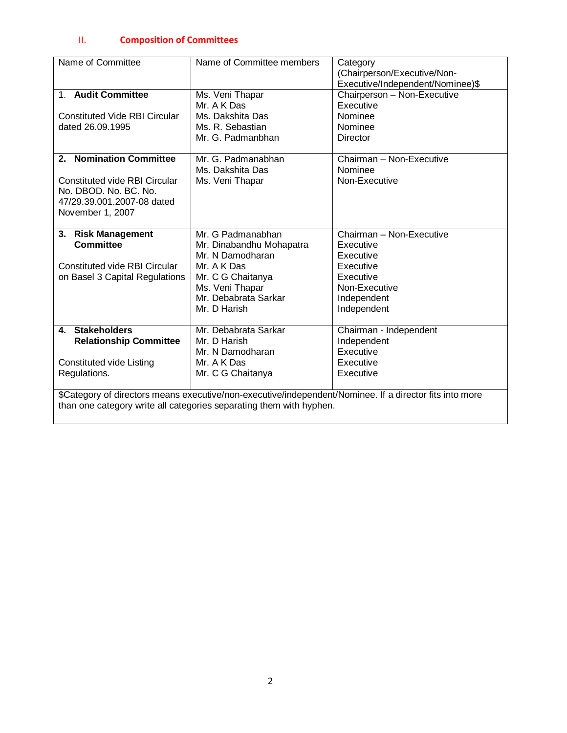## II. **Composition of Committees**

| Name of Committee                                                                                       | Name of Committee members                                           | Category                         |  |  |
|---------------------------------------------------------------------------------------------------------|---------------------------------------------------------------------|----------------------------------|--|--|
|                                                                                                         |                                                                     | (Chairperson/Executive/Non-      |  |  |
|                                                                                                         |                                                                     | Executive/Independent/Nominee)\$ |  |  |
| 1. Audit Committee                                                                                      | Ms. Veni Thapar                                                     | Chairperson - Non-Executive      |  |  |
|                                                                                                         | Mr. A K Das                                                         | Executive                        |  |  |
| <b>Constituted Vide RBI Circular</b>                                                                    | Ms. Dakshita Das                                                    | Nominee                          |  |  |
| dated 26.09.1995                                                                                        | Ms. R. Sebastian                                                    | Nominee                          |  |  |
|                                                                                                         | Mr. G. Padmanbhan                                                   | Director                         |  |  |
|                                                                                                         |                                                                     |                                  |  |  |
| 2. Nomination Committee                                                                                 | Mr. G. Padmanabhan                                                  | Chairman - Non-Executive         |  |  |
|                                                                                                         | Ms. Dakshita Das                                                    | Nominee                          |  |  |
| Constituted vide RBI Circular                                                                           | Ms. Veni Thapar                                                     | Non-Executive                    |  |  |
| No. DBOD, No. BC, No.                                                                                   |                                                                     |                                  |  |  |
| 47/29.39.001.2007-08 dated                                                                              |                                                                     |                                  |  |  |
| November 1, 2007                                                                                        |                                                                     |                                  |  |  |
|                                                                                                         |                                                                     |                                  |  |  |
| 3. Risk Management                                                                                      | Mr. G Padmanabhan                                                   | Chairman - Non-Executive         |  |  |
| <b>Committee</b>                                                                                        | Mr. Dinabandhu Mohapatra                                            | Executive                        |  |  |
|                                                                                                         | Mr. N Damodharan                                                    | Executive                        |  |  |
| <b>Constituted vide RBI Circular</b>                                                                    | Mr. A K Das                                                         | Executive                        |  |  |
| on Basel 3 Capital Regulations                                                                          | Mr. C G Chaitanya                                                   | Executive                        |  |  |
|                                                                                                         | Ms. Veni Thapar                                                     | Non-Executive                    |  |  |
|                                                                                                         | Mr. Debabrata Sarkar                                                | Independent                      |  |  |
|                                                                                                         | Mr. D Harish                                                        | Independent                      |  |  |
|                                                                                                         |                                                                     |                                  |  |  |
| 4. Stakeholders                                                                                         | Mr. Debabrata Sarkar                                                | Chairman - Independent           |  |  |
| <b>Relationship Committee</b>                                                                           | Mr. D Harish                                                        | Independent                      |  |  |
|                                                                                                         | Mr. N Damodharan                                                    | Executive                        |  |  |
| Constituted vide Listing                                                                                | Mr. A K Das                                                         | Executive                        |  |  |
| Regulations.                                                                                            | Mr. C G Chaitanya                                                   | Executive                        |  |  |
|                                                                                                         |                                                                     |                                  |  |  |
| \$Category of directors means executive/non-executive/independent/Nominee. If a director fits into more |                                                                     |                                  |  |  |
|                                                                                                         | than one category write all categories separating them with hyphen. |                                  |  |  |
|                                                                                                         |                                                                     |                                  |  |  |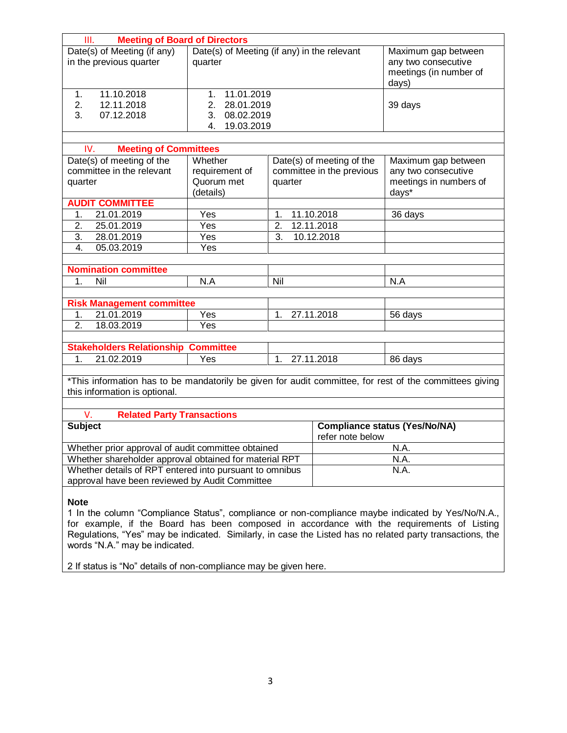| <b>Meeting of Board of Directors</b><br>Ш.                                                                       |                              |                |                           |                                      |  |
|------------------------------------------------------------------------------------------------------------------|------------------------------|----------------|---------------------------|--------------------------------------|--|
| Date(s) of Meeting (if any)<br>Date(s) of Meeting (if any) in the relevant                                       |                              |                |                           | Maximum gap between                  |  |
| in the previous quarter                                                                                          | quarter                      |                |                           | any two consecutive                  |  |
|                                                                                                                  |                              |                |                           | meetings (in number of               |  |
|                                                                                                                  |                              |                |                           | days)                                |  |
| 11.10.2018<br>$\mathbf{1}$ .                                                                                     | 11.01.2019<br>1 <sub>1</sub> |                |                           |                                      |  |
| 2.<br>12.11.2018                                                                                                 | 28.01.2019<br>2.             |                |                           | 39 days                              |  |
| 07.12.2018<br>3.                                                                                                 | 08.02.2019<br>3.             |                |                           |                                      |  |
|                                                                                                                  | 19.03.2019<br>4.             |                |                           |                                      |  |
| <b>Meeting of Committees</b><br>IV.                                                                              |                              |                |                           |                                      |  |
| Date(s) of meeting of the                                                                                        | Whether                      |                | Date(s) of meeting of the | Maximum gap between                  |  |
| committee in the relevant                                                                                        | requirement of               |                | committee in the previous | any two consecutive                  |  |
| quarter                                                                                                          | Quorum met                   | quarter        |                           | meetings in numbers of               |  |
|                                                                                                                  | (details)                    |                |                           | days*                                |  |
| <b>AUDIT COMMITTEE</b>                                                                                           |                              |                |                           |                                      |  |
| 21.01.2019<br>1.                                                                                                 | Yes                          | 1.             | 11.10.2018                | 36 days                              |  |
| 25.01.2019<br>2.                                                                                                 | Yes                          | 2.             | 12.11.2018                |                                      |  |
| 3.<br>28.01.2019                                                                                                 | Yes                          | 3.             | 10.12.2018                |                                      |  |
| 05.03.2019<br>4.                                                                                                 | Yes                          |                |                           |                                      |  |
|                                                                                                                  |                              |                |                           |                                      |  |
| <b>Nomination committee</b>                                                                                      |                              |                |                           |                                      |  |
| Nil<br>$\overline{1}$ .                                                                                          | N.A                          | Nil            |                           | N.A                                  |  |
|                                                                                                                  |                              |                |                           |                                      |  |
| <b>Risk Management committee</b>                                                                                 |                              |                |                           |                                      |  |
| 21.01.2019<br>1.                                                                                                 | Yes                          | 1 <sub>1</sub> | 27.11.2018                | 56 days                              |  |
| 2.<br>18.03.2019<br>Yes                                                                                          |                              |                |                           |                                      |  |
|                                                                                                                  |                              |                |                           |                                      |  |
| <b>Stakeholders Relationship Committee</b><br>21.02.2019<br>1.<br>1 <sub>1</sub><br>Yes                          |                              | 27.11.2018     | 86 days                   |                                      |  |
|                                                                                                                  |                              |                |                           |                                      |  |
| *This information has to be mandatorily be given for audit committee, for rest of the committees giving          |                              |                |                           |                                      |  |
| this information is optional.                                                                                    |                              |                |                           |                                      |  |
|                                                                                                                  |                              |                |                           |                                      |  |
| V.<br><b>Related Party Transactions</b>                                                                          |                              |                |                           |                                      |  |
| <b>Subject</b>                                                                                                   |                              |                |                           | <b>Compliance status (Yes/No/NA)</b> |  |
|                                                                                                                  |                              |                | refer note below          |                                      |  |
| Whether prior approval of audit committee obtained                                                               |                              | N.A.           |                           |                                      |  |
| Whether shareholder approval obtained for material RPT                                                           |                              | N.A.           |                           |                                      |  |
| Whether details of RPT entered into pursuant to omnibus                                                          |                              |                | N.A.                      |                                      |  |
| approval have been reviewed by Audit Committee                                                                   |                              |                |                           |                                      |  |
|                                                                                                                  |                              |                |                           |                                      |  |
| <b>Note</b><br>1 In the column "Compliance Status", compliance or non-compliance maybe indicated by Yes/No/N.A., |                              |                |                           |                                      |  |
|                                                                                                                  |                              |                |                           |                                      |  |
| for example, if the Board has been composed in accordance with the requirements of Listing                       |                              |                |                           |                                      |  |
| Regulations, "Yes" may be indicated. Similarly, in case the Listed has no related party transactions, the        |                              |                |                           |                                      |  |

words "N.A." may be indicated.

2 If status is "No" details of non-compliance may be given here.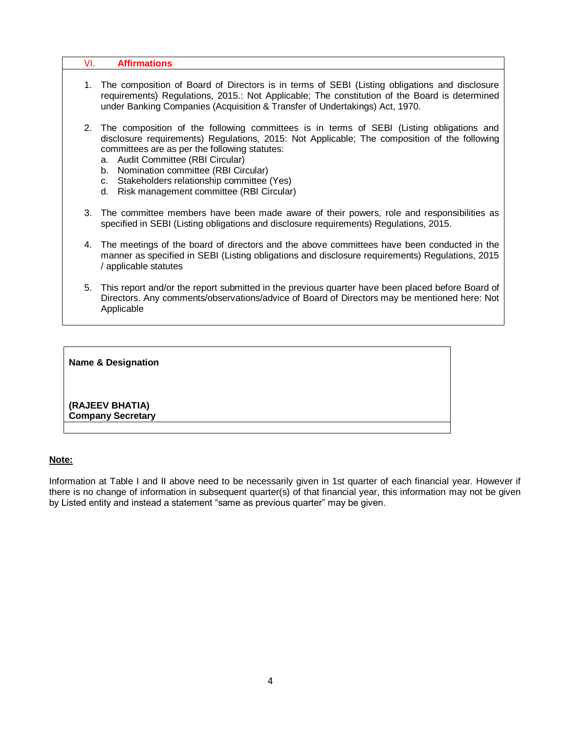| VI. | <b>Affirmations</b>                                                                                                                                                                                                                                                                                                                                                                                                     |
|-----|-------------------------------------------------------------------------------------------------------------------------------------------------------------------------------------------------------------------------------------------------------------------------------------------------------------------------------------------------------------------------------------------------------------------------|
| 1.  | The composition of Board of Directors is in terms of SEBI (Listing obligations and disclosure<br>requirements) Regulations, 2015.: Not Applicable; The constitution of the Board is determined<br>under Banking Companies (Acquisition & Transfer of Undertakings) Act, 1970.                                                                                                                                           |
| 2.  | The composition of the following committees is in terms of SEBI (Listing obligations and<br>disclosure requirements) Regulations, 2015: Not Applicable; The composition of the following<br>committees are as per the following statutes:<br>a. Audit Committee (RBI Circular)<br>b. Nomination committee (RBI Circular)<br>c. Stakeholders relationship committee (Yes)<br>d. Risk management committee (RBI Circular) |
| 3.  | The committee members have been made aware of their powers, role and responsibilities as<br>specified in SEBI (Listing obligations and disclosure requirements) Regulations, 2015.                                                                                                                                                                                                                                      |
| 4.  | The meetings of the board of directors and the above committees have been conducted in the<br>manner as specified in SEBI (Listing obligations and disclosure requirements) Regulations, 2015<br>/ applicable statutes                                                                                                                                                                                                  |
| 5.  | This report and/or the report submitted in the previous quarter have been placed before Board of<br>Directors. Any comments/observations/advice of Board of Directors may be mentioned here: Not<br>Applicable                                                                                                                                                                                                          |
|     |                                                                                                                                                                                                                                                                                                                                                                                                                         |
|     | <b>Name &amp; Designation</b>                                                                                                                                                                                                                                                                                                                                                                                           |

**(RAJEEV BHATIA) Company Secretary** 

#### **Note:**

Information at Table I and II above need to be necessarily given in 1st quarter of each financial year. However if there is no change of information in subsequent quarter(s) of that financial year, this information may not be given by Listed entity and instead a statement "same as previous quarter" may be given.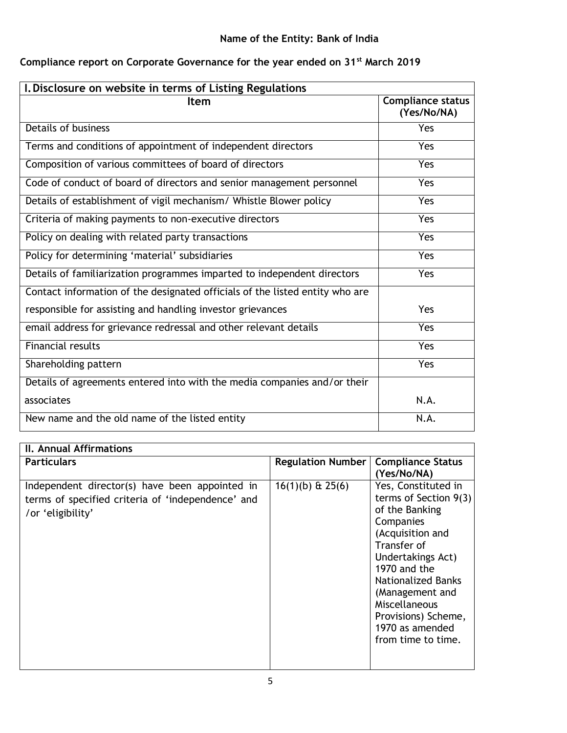# **Name of the Entity: Bank of India**

| I. Disclosure on website in terms of Listing Regulations                     |                                         |  |
|------------------------------------------------------------------------------|-----------------------------------------|--|
| <b>Item</b>                                                                  | <b>Compliance status</b><br>(Yes/No/NA) |  |
| Details of business                                                          | Yes                                     |  |
| Terms and conditions of appointment of independent directors                 | Yes                                     |  |
| Composition of various committees of board of directors                      | Yes                                     |  |
| Code of conduct of board of directors and senior management personnel        | <b>Yes</b>                              |  |
| Details of establishment of vigil mechanism/ Whistle Blower policy           | <b>Yes</b>                              |  |
| Criteria of making payments to non-executive directors                       | Yes                                     |  |
| Policy on dealing with related party transactions                            | <b>Yes</b>                              |  |
| Policy for determining 'material' subsidiaries                               | Yes                                     |  |
| Details of familiarization programmes imparted to independent directors      | Yes                                     |  |
| Contact information of the designated officials of the listed entity who are |                                         |  |
| responsible for assisting and handling investor grievances                   | <b>Yes</b>                              |  |
| email address for grievance redressal and other relevant details             | Yes                                     |  |
| <b>Financial results</b>                                                     | Yes                                     |  |
| Shareholding pattern                                                         | Yes                                     |  |
| Details of agreements entered into with the media companies and/or their     |                                         |  |
| associates                                                                   | N.A.                                    |  |
| New name and the old name of the listed entity                               | N.A.                                    |  |

# **Compliance report on Corporate Governance for the year ended on 31st March 2019**

| <b>Particulars</b><br><b>Compliance Status</b><br><b>Regulation Number</b><br>(Yes/No/NA)<br>Yes, Constituted in<br>$16(1)(b)$ & 25(6)<br>Independent director(s) have been appointed in<br>terms of specified criteria of 'independence' and | <b>II. Annual Affirmations</b> |                                           |
|-----------------------------------------------------------------------------------------------------------------------------------------------------------------------------------------------------------------------------------------------|--------------------------------|-------------------------------------------|
|                                                                                                                                                                                                                                               |                                |                                           |
| Companies<br>(Acquisition and<br>Transfer of<br>Undertakings Act)<br>1970 and the<br>Nationalized Banks<br>(Management and<br>Miscellaneous<br>Provisions) Scheme,<br>1970 as amended<br>from time to time.                                   | /or 'eligibility'              | terms of Section $9(3)$<br>of the Banking |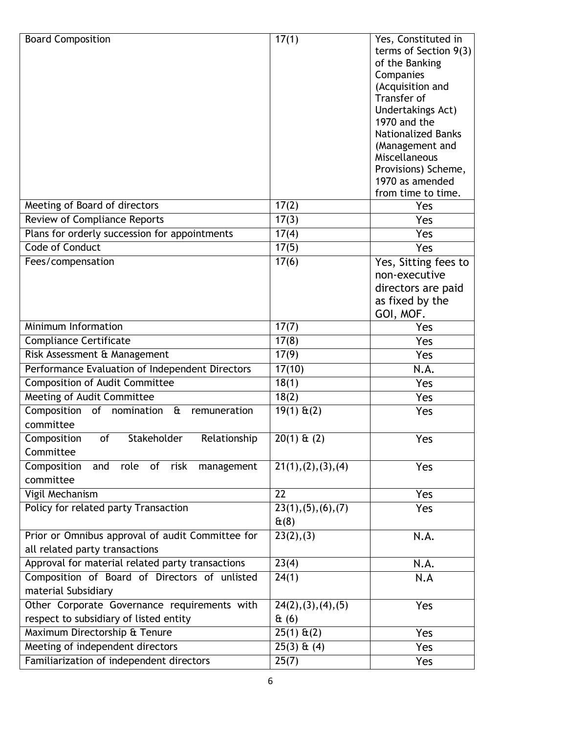| <b>Board Composition</b>                                                               | 17(1)                                   | Yes, Constituted in<br>terms of Section 9(3)<br>of the Banking<br>Companies<br>(Acquisition and<br>Transfer of<br>Undertakings Act)<br>1970 and the<br><b>Nationalized Banks</b><br>(Management and<br>Miscellaneous<br>Provisions) Scheme,<br>1970 as amended<br>from time to time. |
|----------------------------------------------------------------------------------------|-----------------------------------------|--------------------------------------------------------------------------------------------------------------------------------------------------------------------------------------------------------------------------------------------------------------------------------------|
| Meeting of Board of directors                                                          | 17(2)                                   | Yes                                                                                                                                                                                                                                                                                  |
| Review of Compliance Reports                                                           | 17(3)                                   | Yes                                                                                                                                                                                                                                                                                  |
| Plans for orderly succession for appointments                                          | 17(4)                                   | Yes                                                                                                                                                                                                                                                                                  |
| <b>Code of Conduct</b>                                                                 | 17(5)                                   | Yes                                                                                                                                                                                                                                                                                  |
| Fees/compensation                                                                      | 17(6)                                   | Yes, Sitting fees to<br>non-executive<br>directors are paid<br>as fixed by the<br>GOI, MOF.                                                                                                                                                                                          |
| Minimum Information                                                                    | 17(7)                                   | Yes                                                                                                                                                                                                                                                                                  |
| <b>Compliance Certificate</b>                                                          | 17(8)                                   | Yes                                                                                                                                                                                                                                                                                  |
| Risk Assessment & Management                                                           | 17(9)                                   | Yes                                                                                                                                                                                                                                                                                  |
| Performance Evaluation of Independent Directors                                        | 17(10)                                  | N.A.                                                                                                                                                                                                                                                                                 |
| <b>Composition of Audit Committee</b>                                                  | 18(1)                                   | Yes                                                                                                                                                                                                                                                                                  |
| Meeting of Audit Committee                                                             | 18(2)                                   | Yes                                                                                                                                                                                                                                                                                  |
| Composition of<br>nomination<br>$\mathbf{\hat{a}}$<br>remuneration<br>committee        | $19(1) \text{ ft}(2)$                   | Yes                                                                                                                                                                                                                                                                                  |
| Stakeholder<br>Composition<br>of<br>Relationship<br>Committee                          | $20(1)$ & (2)                           | Yes                                                                                                                                                                                                                                                                                  |
| Composition<br>role of<br>and<br>risk<br>management<br>committee                       | 21(1), (2), (3), (4)                    | Yes                                                                                                                                                                                                                                                                                  |
| Vigil Mechanism                                                                        | $\overline{22}$                         | Yes                                                                                                                                                                                                                                                                                  |
| Policy for related party Transaction                                                   | 23(1), (5), (6), (7)<br>$\mathbf{t}(8)$ | Yes                                                                                                                                                                                                                                                                                  |
| Prior or Omnibus approval of audit Committee for<br>all related party transactions     | 23(2), (3)                              | N.A.                                                                                                                                                                                                                                                                                 |
| Approval for material related party transactions                                       | 23(4)                                   | N.A.                                                                                                                                                                                                                                                                                 |
| Composition of Board of Directors of unlisted<br>material Subsidiary                   | $\overline{24(1)}$                      | N.A                                                                                                                                                                                                                                                                                  |
| Other Corporate Governance requirements with<br>respect to subsidiary of listed entity | 24(2), (3), (4), (5)<br>$\theta$ (6)    | Yes                                                                                                                                                                                                                                                                                  |
| Maximum Directorship & Tenure                                                          |                                         | Yes                                                                                                                                                                                                                                                                                  |
| Meeting of independent directors                                                       | $25(3)$ & (4)                           | Yes                                                                                                                                                                                                                                                                                  |
| Familiarization of independent directors                                               | 25(7)                                   | Yes                                                                                                                                                                                                                                                                                  |